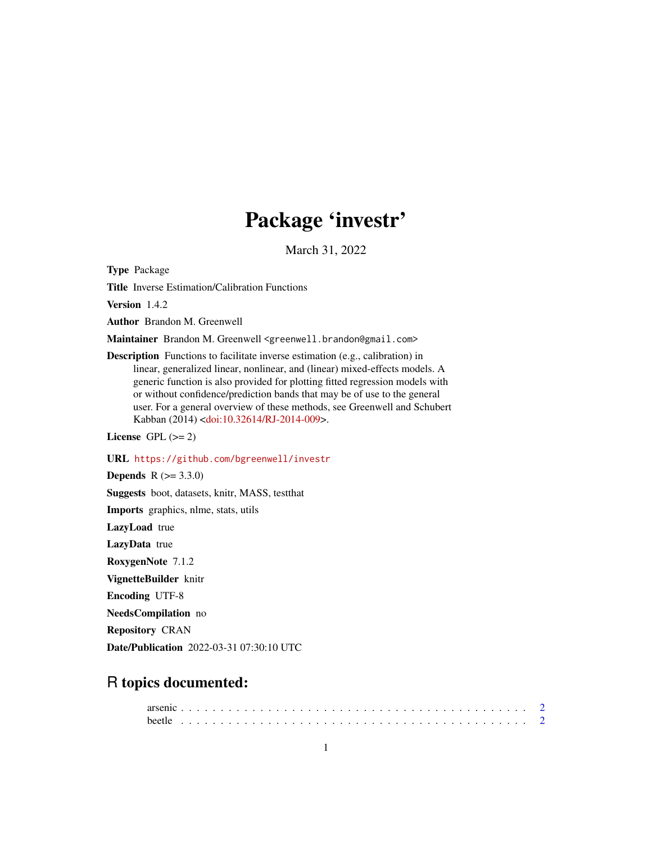# Package 'investr'

March 31, 2022

<span id="page-0-0"></span>Type Package

Title Inverse Estimation/Calibration Functions

Version 1.4.2

Author Brandon M. Greenwell

Maintainer Brandon M. Greenwell <greenwell.brandon@gmail.com>

Description Functions to facilitate inverse estimation (e.g., calibration) in linear, generalized linear, nonlinear, and (linear) mixed-effects models. A generic function is also provided for plotting fitted regression models with or without confidence/prediction bands that may be of use to the general user. For a general overview of these methods, see Greenwell and Schubert Kabban (2014) [<doi:10.32614/RJ-2014-009>](https://doi.org/10.32614/RJ-2014-009).

License GPL  $(>= 2)$ 

URL <https://github.com/bgreenwell/investr>

**Depends**  $R (= 3.3.0)$ 

Suggests boot, datasets, knitr, MASS, testthat

Imports graphics, nlme, stats, utils

LazyLoad true

LazyData true

RoxygenNote 7.1.2

VignetteBuilder knitr

Encoding UTF-8

NeedsCompilation no

Repository CRAN

Date/Publication 2022-03-31 07:30:10 UTC

# R topics documented: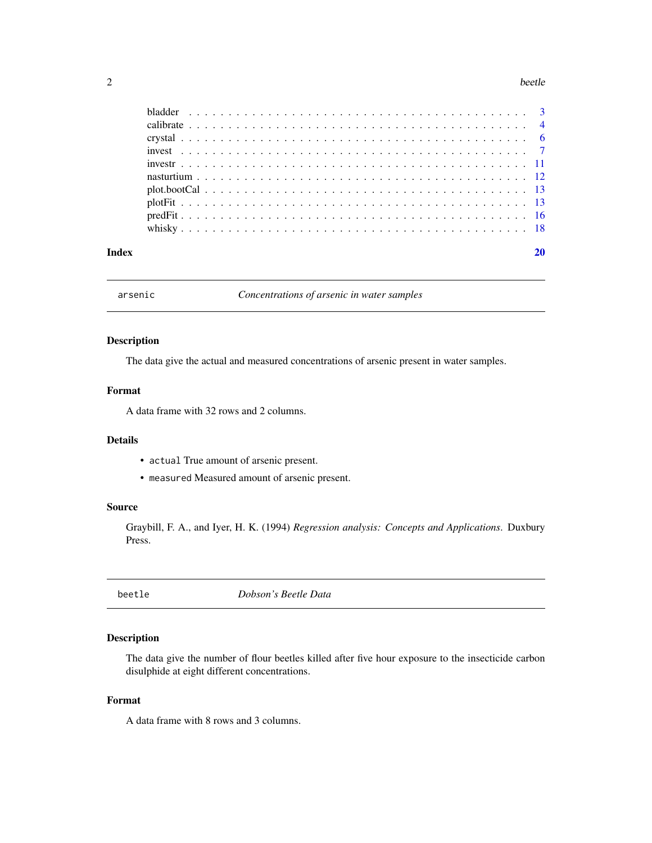#### <span id="page-1-0"></span>2 beetle

| Index |  |
|-------|--|
|       |  |
|       |  |
|       |  |
|       |  |
|       |  |
|       |  |
|       |  |
|       |  |
|       |  |
|       |  |

arsenic *Concentrations of arsenic in water samples*

# Description

The data give the actual and measured concentrations of arsenic present in water samples.

#### Format

A data frame with 32 rows and 2 columns.

#### Details

- actual True amount of arsenic present.
- measured Measured amount of arsenic present.

#### Source

Graybill, F. A., and Iyer, H. K. (1994) *Regression analysis: Concepts and Applications*. Duxbury Press.

beetle *Dobson's Beetle Data*

#### Description

The data give the number of flour beetles killed after five hour exposure to the insecticide carbon disulphide at eight different concentrations.

# Format

A data frame with 8 rows and 3 columns.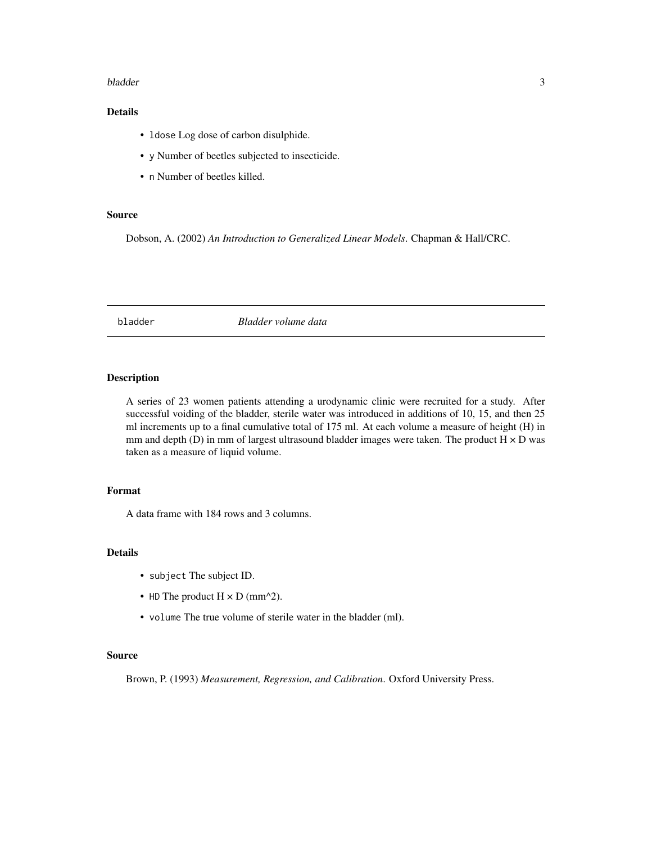#### <span id="page-2-0"></span>bladder 3

# Details

- ldose Log dose of carbon disulphide.
- y Number of beetles subjected to insecticide.
- n Number of beetles killed.

#### Source

Dobson, A. (2002) *An Introduction to Generalized Linear Models*. Chapman & Hall/CRC.

bladder *Bladder volume data*

# Description

A series of 23 women patients attending a urodynamic clinic were recruited for a study. After successful voiding of the bladder, sterile water was introduced in additions of 10, 15, and then 25 ml increments up to a final cumulative total of 175 ml. At each volume a measure of height (H) in mm and depth (D) in mm of largest ultrasound bladder images were taken. The product  $H \times D$  was taken as a measure of liquid volume.

# Format

A data frame with 184 rows and 3 columns.

## Details

- subject The subject ID.
- HD The product  $H \times D$  (mm^2).
- volume The true volume of sterile water in the bladder (ml).

### Source

Brown, P. (1993) *Measurement, Regression, and Calibration*. Oxford University Press.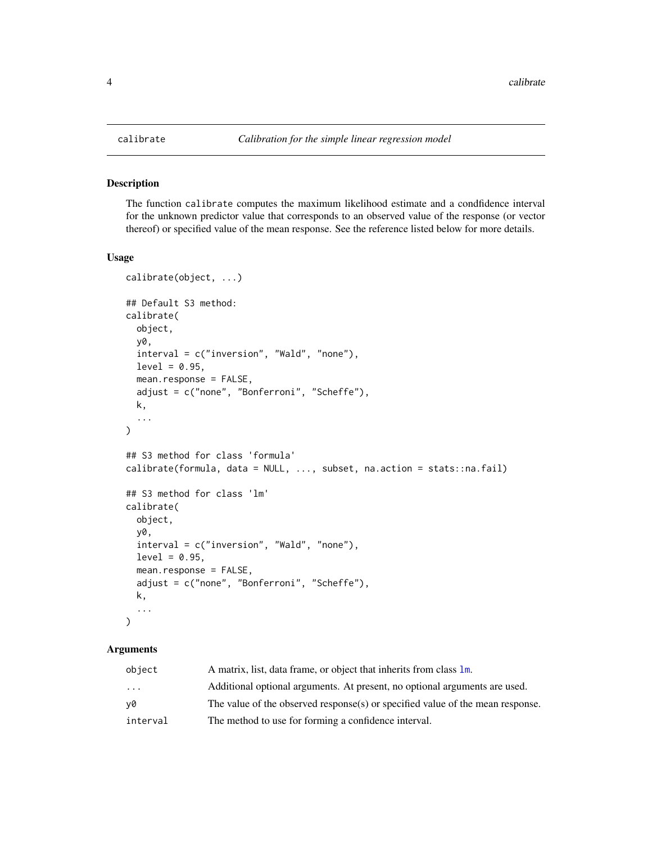#### Description

The function calibrate computes the maximum likelihood estimate and a condfidence interval for the unknown predictor value that corresponds to an observed value of the response (or vector thereof) or specified value of the mean response. See the reference listed below for more details.

#### Usage

```
calibrate(object, ...)
## Default S3 method:
calibrate(
  object,
  y0,
  interval = c("inversion", "Wald", "none"),
  level = 0.95,mean.response = FALSE,
  adjust = c("none", "Bonferroni", "Scheffe"),
 k,
  ...
\mathcal{L}## S3 method for class 'formula'
calibrate(formula, data = NULL, ..., subset, na.action = stats::na.fail)
## S3 method for class 'lm'
calibrate(
 object,
  y0,
  interval = c("inversion", "Wald", "none"),
  level = 0.95,mean.response = FALSE,
  adjust = c("none", "Bonferroni", "Scheffe"),
  k,
  ...
\mathcal{L}
```
# Arguments

| object                  | A matrix, list, data frame, or object that inherits from class 1m.             |
|-------------------------|--------------------------------------------------------------------------------|
| $\cdot$ $\cdot$ $\cdot$ | Additional optional arguments. At present, no optional arguments are used.     |
| ν0                      | The value of the observed response(s) or specified value of the mean response. |
| interval                | The method to use for forming a confidence interval.                           |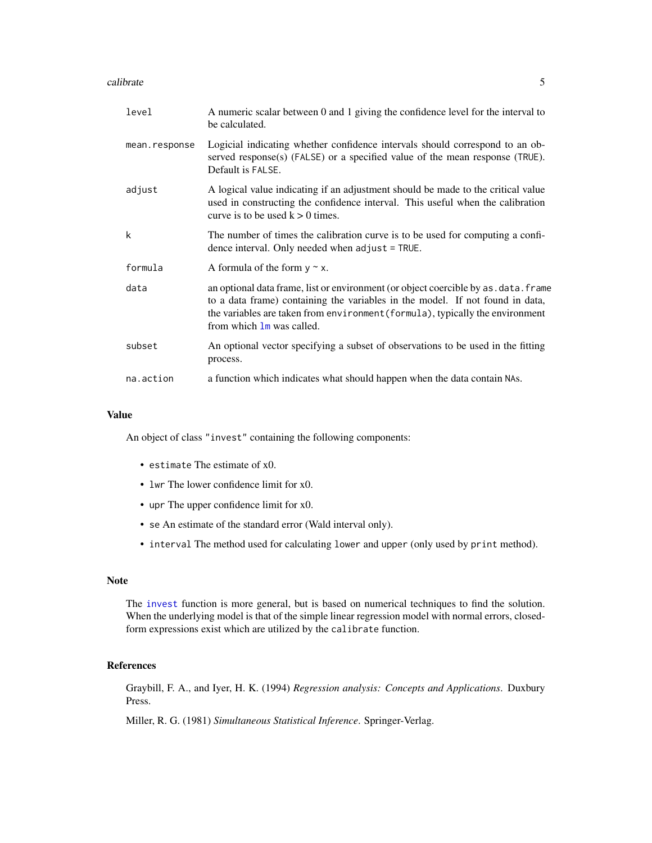#### <span id="page-4-0"></span>calibrate 5 and 5 and 5 and 5 and 5 and 5 and 5 and 5 and 5 and 5 and 5 and 5 and 5 and 5 and 5 and 5 and 5 and 5 and 5 and 5 and 5 and 5 and 5 and 5 and 5 and 5 and 5 and 5 and 5 and 5 and 5 and 5 and 5 and 5 and 5 and 5

| level         | A numeric scalar between 0 and 1 giving the confidence level for the interval to<br>be calculated.                                                                                                                                                                                  |
|---------------|-------------------------------------------------------------------------------------------------------------------------------------------------------------------------------------------------------------------------------------------------------------------------------------|
| mean.response | Logicial indicating whether confidence intervals should correspond to an ob-<br>served response $(s)$ (FALSE) or a specified value of the mean response (TRUE).<br>Default is FALSE.                                                                                                |
| adjust        | A logical value indicating if an adjustment should be made to the critical value<br>used in constructing the confidence interval. This useful when the calibration<br>curve is to be used $k > 0$ times.                                                                            |
| k             | The number of times the calibration curve is to be used for computing a confi-<br>dence interval. Only needed when $adjust = TRUE$ .                                                                                                                                                |
| formula       | A formula of the form $y \sim x$ .                                                                                                                                                                                                                                                  |
| data          | an optional data frame, list or environment (or object coercible by as . data. frame<br>to a data frame) containing the variables in the model. If not found in data,<br>the variables are taken from environment (formula), typically the environment<br>from which 1m was called. |
| subset        | An optional vector specifying a subset of observations to be used in the fitting<br>process.                                                                                                                                                                                        |
| na.action     | a function which indicates what should happen when the data contain NAs.                                                                                                                                                                                                            |

#### Value

An object of class "invest" containing the following components:

- estimate The estimate of x0.
- lwr The lower confidence limit for x0.
- upr The upper confidence limit for x0.
- se An estimate of the standard error (Wald interval only).
- interval The method used for calculating lower and upper (only used by print method).

# Note

The [invest](#page-6-1) function is more general, but is based on numerical techniques to find the solution. When the underlying model is that of the simple linear regression model with normal errors, closedform expressions exist which are utilized by the calibrate function.

#### References

Graybill, F. A., and Iyer, H. K. (1994) *Regression analysis: Concepts and Applications*. Duxbury Press.

Miller, R. G. (1981) *Simultaneous Statistical Inference*. Springer-Verlag.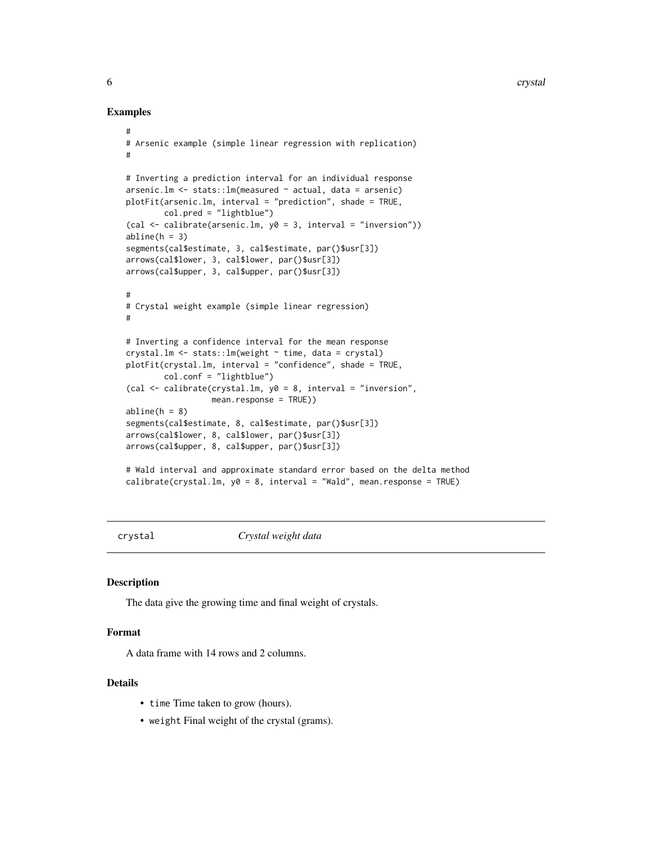#### <span id="page-5-0"></span>Examples

```
#
# Arsenic example (simple linear regression with replication)
#
# Inverting a prediction interval for an individual response
arsenic.lm <- stats::lm(measured ~ actual, data = arsenic)
plotFit(arsenic.lm, interval = "prediction", shade = TRUE,
        col.pred = "lightblue")
(cal <- calibrate(arsenic.lm, y0 = 3, interval = "inversion"))
abline(h = 3)segments(cal$estimate, 3, cal$estimate, par()$usr[3])
arrows(cal$lower, 3, cal$lower, par()$usr[3])
arrows(cal$upper, 3, cal$upper, par()$usr[3])
#
# Crystal weight example (simple linear regression)
#
# Inverting a confidence interval for the mean response
crystal.lm \leftarrow stats::lm(weight \sim time, data = crystal)plotFit(crystal.lm, interval = "confidence", shade = TRUE,
        col.conf = "lightblue")
(cal <- calibrate(crystal.lm, y0 = 8, interval = "inversion",
                  mean.response = TRUE))
abline(h = 8)segments(cal$estimate, 8, cal$estimate, par()$usr[3])
arrows(cal$lower, 8, cal$lower, par()$usr[3])
arrows(cal$upper, 8, cal$upper, par()$usr[3])
# Wald interval and approximate standard error based on the delta method
calibrate(crystal.lm, y0 = 8, interval = "Wald", mean.response = TRUE)
```
crystal *Crystal weight data*

#### Description

The data give the growing time and final weight of crystals.

# Format

A data frame with 14 rows and 2 columns.

#### Details

- time Time taken to grow (hours).
- weight Final weight of the crystal (grams).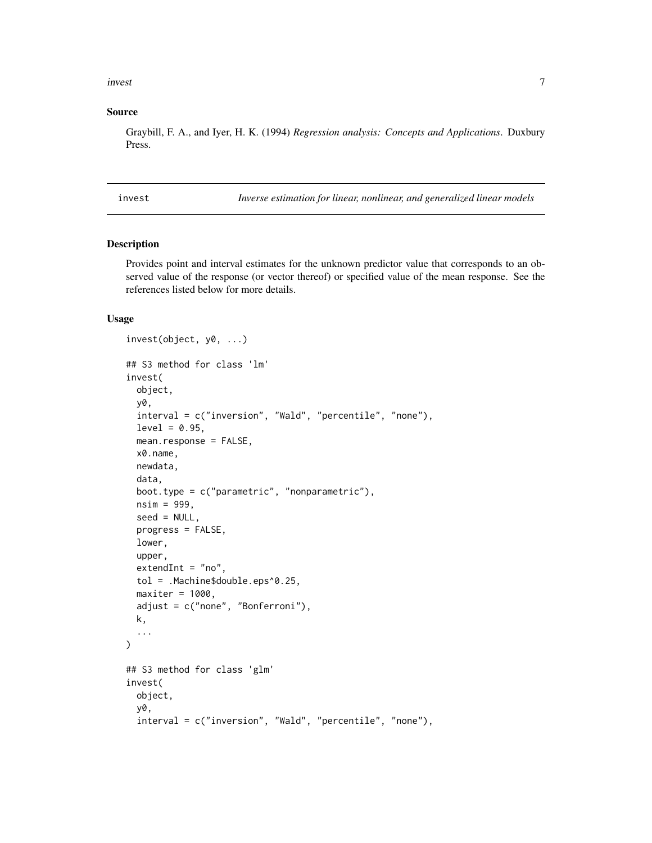#### <span id="page-6-0"></span>invest 7

#### Source

Graybill, F. A., and Iyer, H. K. (1994) *Regression analysis: Concepts and Applications*. Duxbury Press.

<span id="page-6-1"></span>invest *Inverse estimation for linear, nonlinear, and generalized linear models*

#### Description

Provides point and interval estimates for the unknown predictor value that corresponds to an observed value of the response (or vector thereof) or specified value of the mean response. See the references listed below for more details.

#### Usage

```
invest(object, y0, ...)
## S3 method for class 'lm'
invest(
 object,
 y0,
  interval = c("inversion", "Wald", "percentile", "none"),
  level = 0.95,mean.response = FALSE,
 x0.name,
 newdata,
 data,
 boot.type = c("parametric", "nonparametric"),
 nsim = 999,
  seed = NULL,
 progress = FALSE,
  lower,
  upper,
 extendInt = "no",
  tol = .Machine$double.eps^0.25,
 maxiter = 1000,adjust = c("none", "Bonferroni"),
 k,
  ...
\mathcal{L}## S3 method for class 'glm'
invest(
 object,
 y0,
  interval = c("inversion", "Wald", "percentile", "none"),
```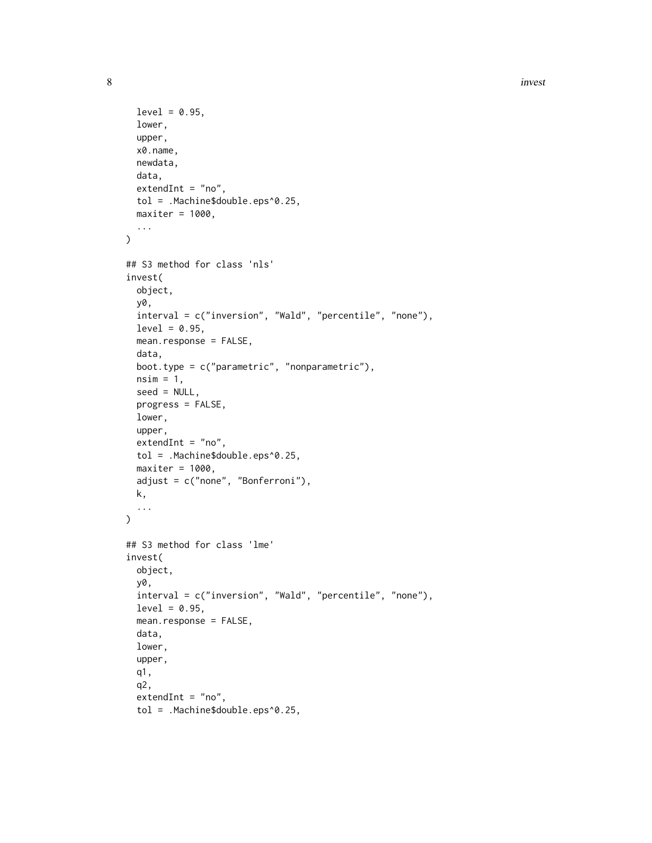```
level = 0.95,lower,
  upper,
 x0.name,
 newdata,
 data,
 extendInt = "no",tol = .Machine$double.eps^0.25,
 maxiter = 1000,
  ...
)
## S3 method for class 'nls'
invest(
 object,
 y0,
  interval = c("inversion", "Wald", "percentile", "none"),
  level = 0.95,mean.response = FALSE,
  data,
 boot.type = c("parametric", "nonparametric"),
 nsim = 1,
  seed = NULL,
  progress = FALSE,
  lower,
 upper,
  extendInt = "no",tol = .Machine$double.eps^0.25,
 maxiter = 1000,adjust = c("none", "Bonferroni"),
 k,
  ...
\lambda## S3 method for class 'lme'
invest(
 object,
 y0,
  interval = c("inversion", "Wald", "percentile", "none"),
  level = 0.95,mean.response = FALSE,
 data,
 lower,
 upper,
  q1,
  q2,
  extendInt = "no",tol = .Machine$double.eps^0.25,
```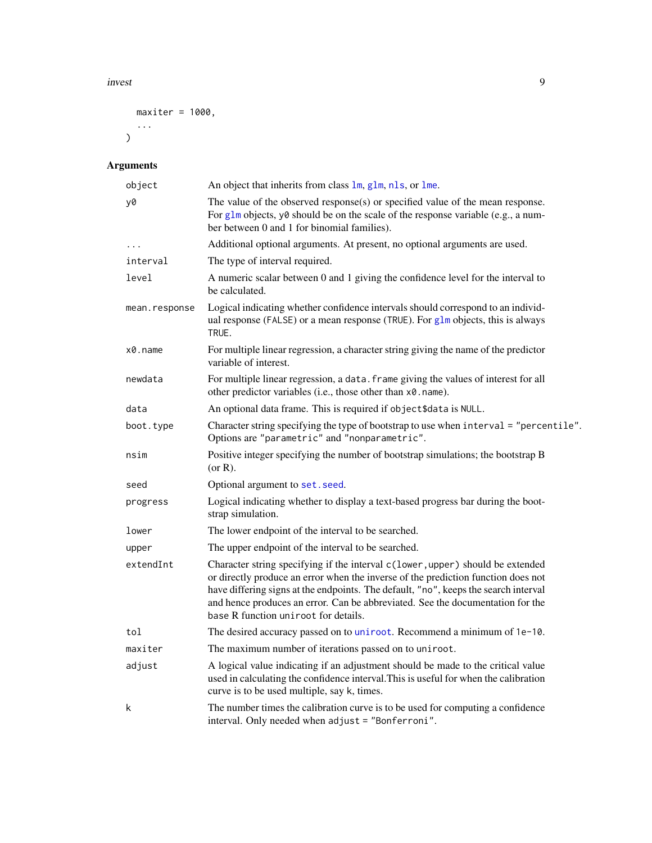#### <span id="page-8-0"></span>invest 9

```
maxiter = 1000,
 ...
)
```
# Arguments

| object        | An object that inherits from class 1m, g1m, n1s, or 1me.                                                                                                                                                                                                                                                                                                                             |
|---------------|--------------------------------------------------------------------------------------------------------------------------------------------------------------------------------------------------------------------------------------------------------------------------------------------------------------------------------------------------------------------------------------|
| y0            | The value of the observed response(s) or specified value of the mean response.<br>For glm objects, y0 should be on the scale of the response variable (e.g., a num-<br>ber between 0 and 1 for binomial families).                                                                                                                                                                   |
| .             | Additional optional arguments. At present, no optional arguments are used.                                                                                                                                                                                                                                                                                                           |
| interval      | The type of interval required.                                                                                                                                                                                                                                                                                                                                                       |
| level         | A numeric scalar between 0 and 1 giving the confidence level for the interval to<br>be calculated.                                                                                                                                                                                                                                                                                   |
| mean.response | Logical indicating whether confidence intervals should correspond to an individ-<br>ual response (FALSE) or a mean response (TRUE). For glm objects, this is always<br>TRUE.                                                                                                                                                                                                         |
| x0.name       | For multiple linear regression, a character string giving the name of the predictor<br>variable of interest.                                                                                                                                                                                                                                                                         |
| newdata       | For multiple linear regression, a data. frame giving the values of interest for all<br>other predictor variables (i.e., those other than x0. name).                                                                                                                                                                                                                                  |
| data          | An optional data frame. This is required if object\$data is NULL.                                                                                                                                                                                                                                                                                                                    |
| boot.type     | Character string specifying the type of bootstrap to use when interval = "percentile".<br>Options are "parametric" and "nonparametric".                                                                                                                                                                                                                                              |
| nsim          | Positive integer specifying the number of bootstrap simulations; the bootstrap B<br>(or R).                                                                                                                                                                                                                                                                                          |
| seed          | Optional argument to set. seed.                                                                                                                                                                                                                                                                                                                                                      |
| progress      | Logical indicating whether to display a text-based progress bar during the boot-<br>strap simulation.                                                                                                                                                                                                                                                                                |
| lower         | The lower endpoint of the interval to be searched.                                                                                                                                                                                                                                                                                                                                   |
| upper         | The upper endpoint of the interval to be searched.                                                                                                                                                                                                                                                                                                                                   |
| extendInt     | Character string specifying if the interval c(lower, upper) should be extended<br>or directly produce an error when the inverse of the prediction function does not<br>have differing signs at the endpoints. The default, "no", keeps the search interval<br>and hence produces an error. Can be abbreviated. See the documentation for the<br>base R function uniroot for details. |
| tol           | The desired accuracy passed on to uniroot. Recommend a minimum of 1e-10.                                                                                                                                                                                                                                                                                                             |
| maxiter       | The maximum number of iterations passed on to uniroot.                                                                                                                                                                                                                                                                                                                               |
| adjust        | A logical value indicating if an adjustment should be made to the critical value<br>used in calculating the confidence interval. This is useful for when the calibration<br>curve is to be used multiple, say k, times.                                                                                                                                                              |
| k             | The number times the calibration curve is to be used for computing a confidence<br>interval. Only needed when adjust = "Bonferroni".                                                                                                                                                                                                                                                 |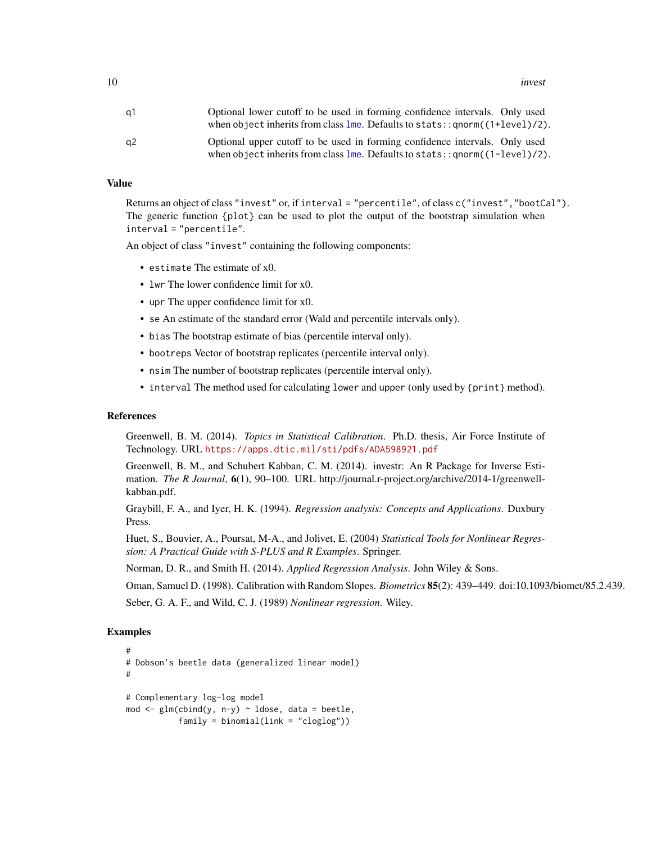<span id="page-9-0"></span>10 investment and the state of the state of the state of the state of the state of the state of the state of the state of the state of the state of the state of the state of the state of the state of the state of the state

| a1 | Optional lower cutoff to be used in forming confidence intervals. Only used                                                                                                            |
|----|----------------------------------------------------------------------------------------------------------------------------------------------------------------------------------------|
|    | when object inherits from class $\text{Im}$ . Defaults to stats:: $\text{qnorm}((1+\text{level})/2)$ .                                                                                 |
| a2 | Optional upper cutoff to be used in forming confidence intervals. Only used<br>when object inherits from class $\text{Im}$ . Defaults to stats: : $\text{qnorm}((1-\text{level})/2)$ . |

# Value

Returns an object of class "invest" or, if interval = "percentile", of class c("invest","bootCal"). The generic function {plot} can be used to plot the output of the bootstrap simulation when interval = "percentile".

An object of class "invest" containing the following components:

- estimate The estimate of x0.
- lwr The lower confidence limit for x0.
- upr The upper confidence limit for x0.
- se An estimate of the standard error (Wald and percentile intervals only).
- bias The bootstrap estimate of bias (percentile interval only).
- bootreps Vector of bootstrap replicates (percentile interval only).
- nsim The number of bootstrap replicates (percentile interval only).
- interval The method used for calculating lower and upper (only used by {print} method).

#### References

Greenwell, B. M. (2014). *Topics in Statistical Calibration*. Ph.D. thesis, Air Force Institute of Technology. URL <https://apps.dtic.mil/sti/pdfs/ADA598921.pdf>

Greenwell, B. M., and Schubert Kabban, C. M. (2014). investr: An R Package for Inverse Estimation. *The R Journal*, 6(1), 90–100. URL http://journal.r-project.org/archive/2014-1/greenwellkabban.pdf.

Graybill, F. A., and Iyer, H. K. (1994). *Regression analysis: Concepts and Applications*. Duxbury Press.

Huet, S., Bouvier, A., Poursat, M-A., and Jolivet, E. (2004) *Statistical Tools for Nonlinear Regression: A Practical Guide with S-PLUS and R Examples*. Springer.

Norman, D. R., and Smith H. (2014). *Applied Regression Analysis*. John Wiley & Sons.

Oman, Samuel D. (1998). Calibration with Random Slopes. *Biometrics* 85(2): 439–449. doi:10.1093/biomet/85.2.439.

Seber, G. A. F., and Wild, C. J. (1989) *Nonlinear regression*. Wiley.

#### Examples

```
#
# Dobson's beetle data (generalized linear model)
#
# Complementary log-log model
mod \leq glm(cbind(y, n-y) \sim ldose, data = beetle,
           family = binomial(link = "cloglog"))
```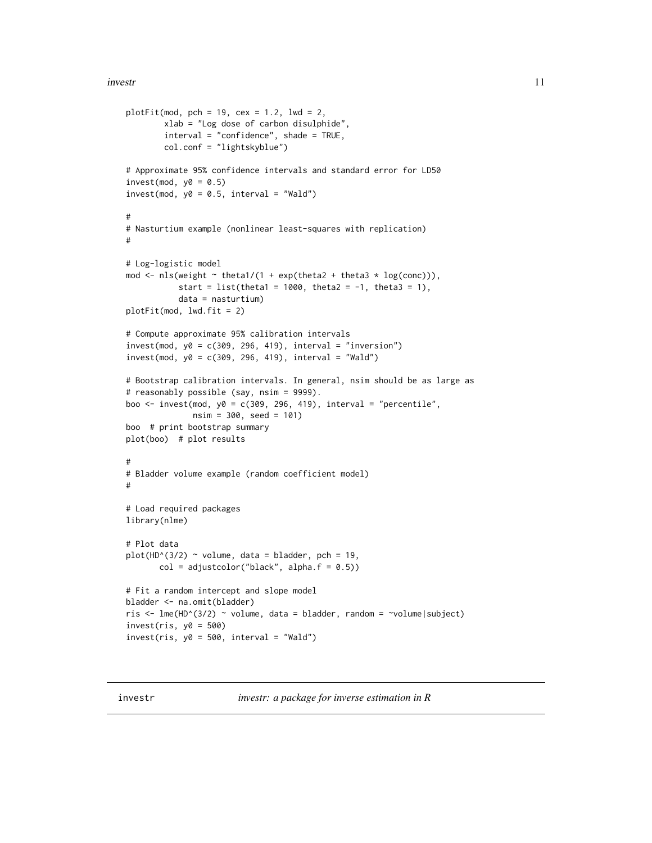#### <span id="page-10-0"></span>investre to the contract of the contract of the contract of the contract of the contract of the contract of the contract of the contract of the contract of the contract of the contract of the contract of the contract of th

```
plotFit(mod, pch = 19, cex = 1.2, lwd = 2,
        xlab = "Log dose of carbon disulphide",
        interval = "confidence", shade = TRUE,
        col.conf = "lightskyblue")
# Approximate 95% confidence intervals and standard error for LD50
invest(mod, y0 = 0.5)invest(mod, y0 = 0.5, interval = "Wald")#
# Nasturtium example (nonlinear least-squares with replication)
#
# Log-logistic model
mod <- nls(weight \sim theta1/(1 + exp(theta2 + theta3 \star log(conc))),
           start = list(theta1 = 1000, theta2 = -1, theta3 = 1),
           data = nasturtium)
plotFit(mod, lwd.fit = 2)
# Compute approximate 95% calibration intervals
invest(mod, y0 = c(309, 296, 419), interval = "inversion")invest(mod, y0 = c(309, 296, 419), interval = "Wald")# Bootstrap calibration intervals. In general, nsim should be as large as
# reasonably possible (say, nsim = 9999).
boo \le invest(mod, y0 = c(309, 296, 419), interval = "percentile",
              nsim = 300, seed = 101)
boo # print bootstrap summary
plot(boo) # plot results
#
# Bladder volume example (random coefficient model)
#
# Load required packages
library(nlme)
# Plot data
plot(HD^{(3/2)} \sim volume, data = bladder, pch = 19,col = adjustcolor("black", alpha.f = 0.5))# Fit a random intercept and slope model
bladder <- na.omit(bladder)
ris <- lme(HD^(3/2) ~ volume, data = bladder, random = ~volume|subject)
invest(ris, y0 = 500)investiris, y0 = 500, interval = "Wald")
```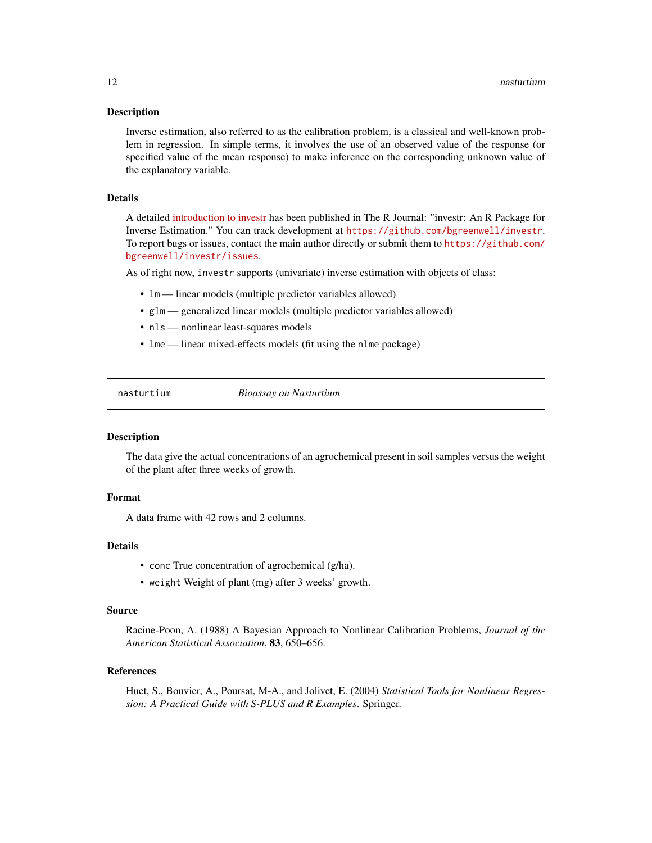#### <span id="page-11-0"></span>Description

Inverse estimation, also referred to as the calibration problem, is a classical and well-known problem in regression. In simple terms, it involves the use of an observed value of the response (or specified value of the mean response) to make inference on the corresponding unknown value of the explanatory variable.

### Details

A detailed [introduction to investr](https://journal.r-project.org/archive/2014/RJ-2014-009/index.html) has been published in The R Journal: "investr: An R Package for Inverse Estimation." You can track development at <https://github.com/bgreenwell/investr>. To report bugs or issues, contact the main author directly or submit them to [https://github.com/](https://github.com/bgreenwell/investr/issues) [bgreenwell/investr/issues](https://github.com/bgreenwell/investr/issues).

As of right now, investr supports (univariate) inverse estimation with objects of class:

- $lm$  linear models (multiple predictor variables allowed)
- glm generalized linear models (multiple predictor variables allowed)
- nls nonlinear least-squares models
- lme linear mixed-effects models (fit using the nlme package)

nasturtium *Bioassay on Nasturtium*

#### Description

The data give the actual concentrations of an agrochemical present in soil samples versus the weight of the plant after three weeks of growth.

# Format

A data frame with 42 rows and 2 columns.

#### Details

- conc True concentration of agrochemical (g/ha).
- weight Weight of plant (mg) after 3 weeks' growth.

#### Source

Racine-Poon, A. (1988) A Bayesian Approach to Nonlinear Calibration Problems, *Journal of the American Statistical Association*, 83, 650–656.

#### References

Huet, S., Bouvier, A., Poursat, M-A., and Jolivet, E. (2004) *Statistical Tools for Nonlinear Regression: A Practical Guide with S-PLUS and R Examples*. Springer.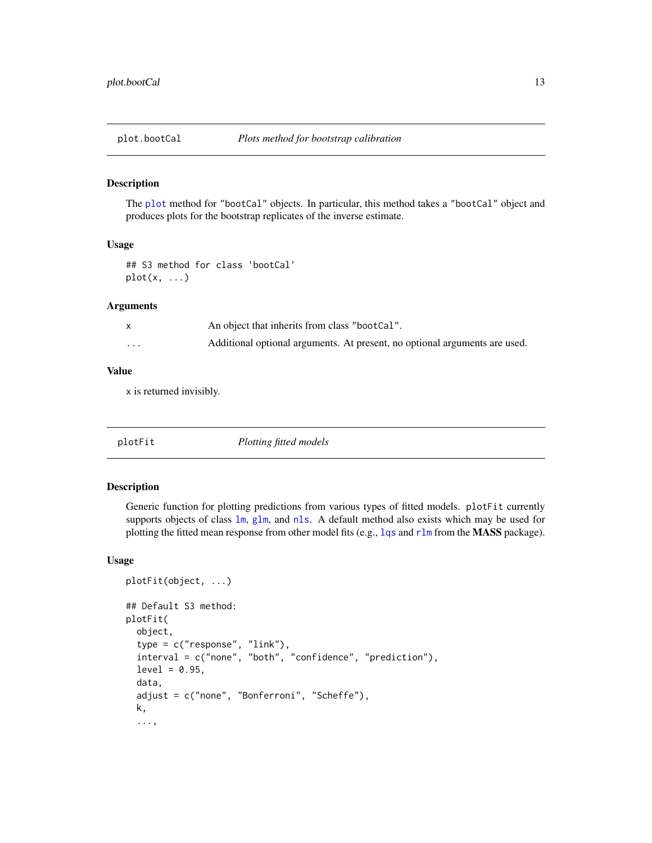<span id="page-12-0"></span>

#### Description

The [plot](#page-0-0) method for "bootCal" objects. In particular, this method takes a "bootCal" object and produces plots for the bootstrap replicates of the inverse estimate.

#### Usage

## S3 method for class 'bootCal'  $plot(x, \ldots)$ 

#### **Arguments**

|         | An object that inherits from class "bootCal".                              |
|---------|----------------------------------------------------------------------------|
| $\cdot$ | Additional optional arguments. At present, no optional arguments are used. |

#### Value

x is returned invisibly.

| Plotting fitted models<br>plotFit |
|-----------------------------------|
|-----------------------------------|

# Description

Generic function for plotting predictions from various types of fitted models. plotFit currently supports objects of class  $lm$ ,  $glm$ , and [nls](#page-0-0). A default method also exists which may be used for plotting the fitted mean response from other model fits (e.g., 1qs and r1m from the MASS package).

#### Usage

```
plotFit(object, ...)
## Default S3 method:
plotFit(
  object,
  type = c("response", "link"),
  interval = c("none", "both", "confidence", "prediction"),
  level = 0.95,
  data,
  adjust = c("none", "Bonferroni", "Scheffe"),
  k,
  ...,
```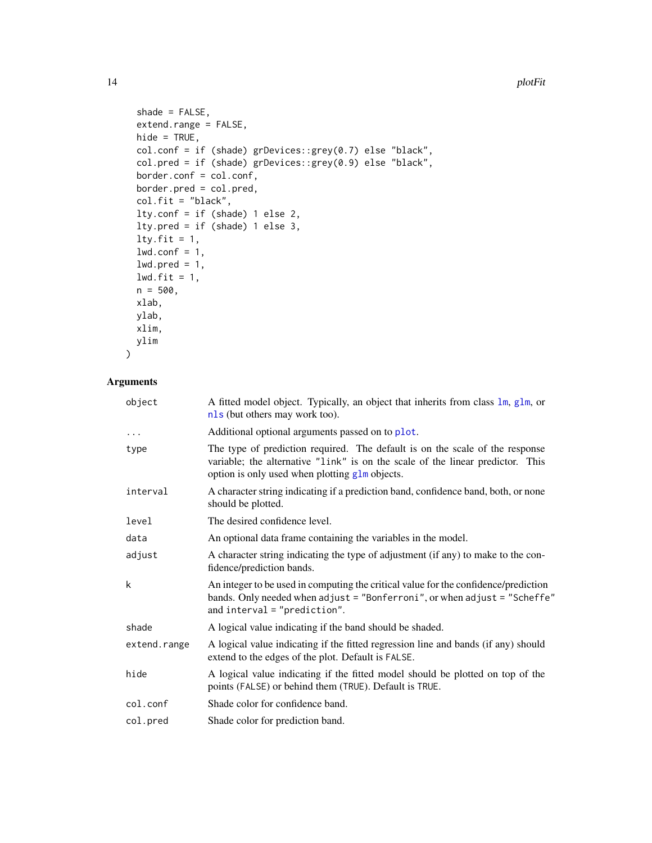```
shade = FALSE,extend.range = FALSE,
 hide = TRUE,
 col.conf = if (shade) grDevices::grey(0.7) else "black",
  col.pred = if (shade) grDevices::grey(0.9) else "black",
 border.conf = col.conf,
 border.pred = col.pred,
 col.fit = "black",lty.conf = if (shade) 1 else 2,
 lty.pred = if (shade) 1 else 3,
 lty.fit = 1,1wd.comf = 1,
 1wd.pred = 1,
 lwd.fit = 1,
 n = 500,xlab,
 ylab,
 xlim,
 ylim
\mathcal{L}
```
# Arguments

| object       | A fitted model object. Typically, an object that inherits from class 1m, g1m, or<br>nls (but others may work too).                                                                                               |
|--------------|------------------------------------------------------------------------------------------------------------------------------------------------------------------------------------------------------------------|
| $\cdots$     | Additional optional arguments passed on to plot.                                                                                                                                                                 |
| type         | The type of prediction required. The default is on the scale of the response<br>variable; the alternative "link" is on the scale of the linear predictor. This<br>option is only used when plotting glm objects. |
| interval     | A character string indicating if a prediction band, confidence band, both, or none<br>should be plotted.                                                                                                         |
| level        | The desired confidence level.                                                                                                                                                                                    |
| data         | An optional data frame containing the variables in the model.                                                                                                                                                    |
| adjust       | A character string indicating the type of adjustment (if any) to make to the con-<br>fidence/prediction bands.                                                                                                   |
| k            | An integer to be used in computing the critical value for the confidence/prediction<br>bands. Only needed when adjust = "Bonferroni", or when adjust = "Scheffe"<br>and interval $=$ "prediction".               |
| shade        | A logical value indicating if the band should be shaded.                                                                                                                                                         |
| extend.range | A logical value indicating if the fitted regression line and bands (if any) should<br>extend to the edges of the plot. Default is FALSE.                                                                         |
| hide         | A logical value indicating if the fitted model should be plotted on top of the<br>points (FALSE) or behind them (TRUE). Default is TRUE.                                                                         |
| col.conf     | Shade color for confidence band.                                                                                                                                                                                 |
| col.pred     | Shade color for prediction band.                                                                                                                                                                                 |

<span id="page-13-0"></span>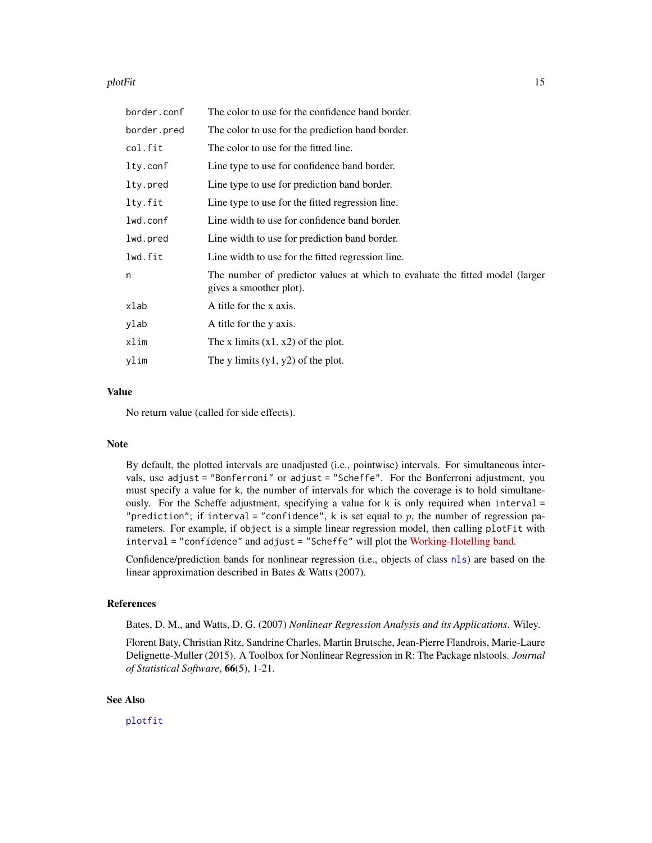#### <span id="page-14-0"></span>plotFit the contract of the contract of the contract of the contract of the contract of the contract of the contract of the contract of the contract of the contract of the contract of the contract of the contract of the co

| border.conf | The color to use for the confidence band border.                                                        |
|-------------|---------------------------------------------------------------------------------------------------------|
| border.pred | The color to use for the prediction band border.                                                        |
| col.fit     | The color to use for the fitted line.                                                                   |
| lty.conf    | Line type to use for confidence band border.                                                            |
| lty.pred    | Line type to use for prediction band border.                                                            |
| lty.fit     | Line type to use for the fitted regression line.                                                        |
| lwd.conf    | Line width to use for confidence band border.                                                           |
| lwd.pred    | Line width to use for prediction band border.                                                           |
| lwd.fit     | Line width to use for the fitted regression line.                                                       |
| n           | The number of predictor values at which to evaluate the fitted model (larger<br>gives a smoother plot). |
| xlab        | A title for the x axis.                                                                                 |
| ylab        | A title for the y axis.                                                                                 |
| xlim        | The x limits $(x1, x2)$ of the plot.                                                                    |
| ylim        | The y limits $(y1, y2)$ of the plot.                                                                    |
|             |                                                                                                         |

# Value

No return value (called for side effects).

### Note

By default, the plotted intervals are unadjusted (i.e., pointwise) intervals. For simultaneous intervals, use adjust = "Bonferroni" or adjust = "Scheffe". For the Bonferroni adjustment, you must specify a value for k, the number of intervals for which the coverage is to hold simultaneously. For the Scheffe adjustment, specifying a value for k is only required when interval = "prediction"; if interval = "confidence", k is set equal to  $p$ , the number of regression parameters. For example, if object is a simple linear regression model, then calling plotFit with interval = "confidence" and adjust = "Scheffe" will plot the [Working-Hotelling band.](https://en.wikipedia.org/wiki/Working-Hotelling_procedure)

Confidence/prediction bands for nonlinear regression (i.e., objects of class [nls](#page-0-0)) are based on the linear approximation described in Bates & Watts (2007).

#### References

Bates, D. M., and Watts, D. G. (2007) *Nonlinear Regression Analysis and its Applications*. Wiley.

Florent Baty, Christian Ritz, Sandrine Charles, Martin Brutsche, Jean-Pierre Flandrois, Marie-Laure Delignette-Muller (2015). A Toolbox for Nonlinear Regression in R: The Package nlstools. *Journal of Statistical Software*, 66(5), 1-21.

# See Also

[plotfit](#page-0-0)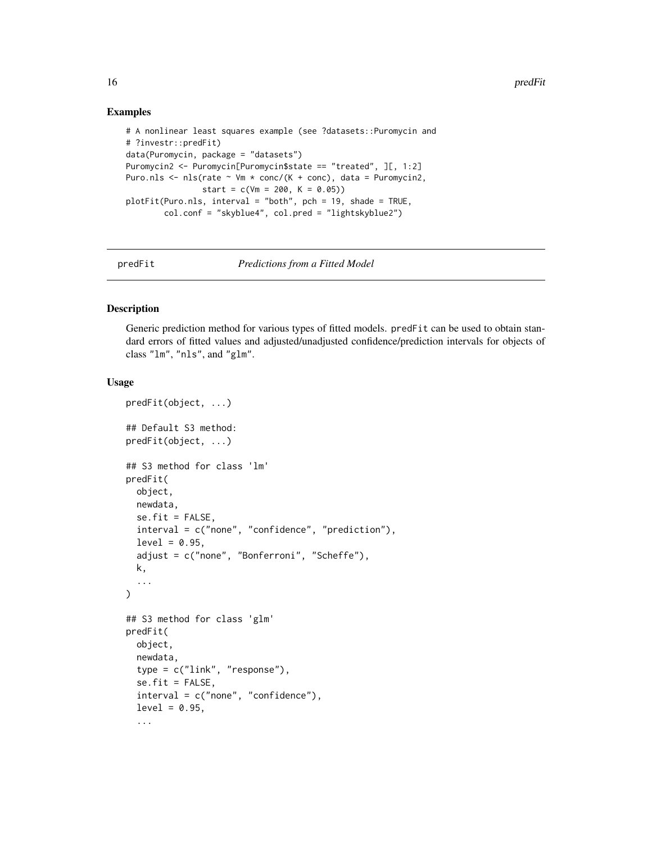#### Examples

```
# A nonlinear least squares example (see ?datasets::Puromycin and
# ?investr::predFit)
data(Puromycin, package = "datasets")
Puromycin2 <- Puromycin[Puromycin$state == "treated", ][, 1:2]
Puro.nls <- nls(rate \sim Vm * conc/(K + conc), data = Puromycin2,
                start = c(Vm = 200, K = 0.05)plotFit(Puro.nls, interval = "both", pch = 19, shade = TRUE,
        col.conf = "skyblue4", col.pred = "lightskyblue2")
```
predFit *Predictions from a Fitted Model*

#### Description

Generic prediction method for various types of fitted models. predFit can be used to obtain standard errors of fitted values and adjusted/unadjusted confidence/prediction intervals for objects of class "lm", "nls", and "glm".

#### Usage

```
predFit(object, ...)
## Default S3 method:
predFit(object, ...)
## S3 method for class 'lm'
predFit(
  object,
 newdata,
  se.fit = FALSE,interval = c("none", "confidence", "prediction"),
  level = 0.95,
  adjust = c("none", "Bonferroni", "Scheffe"),
 k,
  ...
)
## S3 method for class 'glm'
predFit(
  object,
  newdata,
  type = c("link", "response"),
  se.fit = FALSE,interval = c("none", "confidence"),
  level = 0.95,...
```
<span id="page-15-0"></span>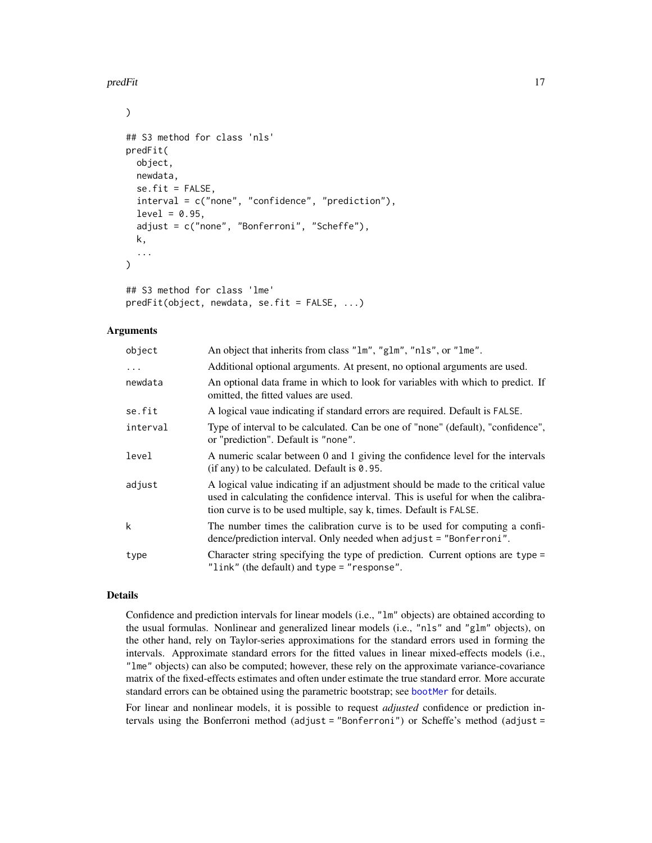<span id="page-16-0"></span>predFit the contract of the contract of the contract of the contract of the contract of the contract of the contract of the contract of the contract of the contract of the contract of the contract of the contract of the co

```
)
## S3 method for class 'nls'
predFit(
  object,
  newdata,
  se.fit = FALSE,interval = c("none", "confidence", "prediction"),
  level = 0.95,adjust = c("none", "Bonferroni", "Scheffe"),
  k,
  ...
)
## S3 method for class 'lme'
predFit(object, newdata, se.fit = FALSE, ...)
```
#### Arguments

| object    | An object that inherits from class "1m", "g1m", "n1s", or "1me".                                                                                                                                                                            |
|-----------|---------------------------------------------------------------------------------------------------------------------------------------------------------------------------------------------------------------------------------------------|
| $\ddotsc$ | Additional optional arguments. At present, no optional arguments are used.                                                                                                                                                                  |
| newdata   | An optional data frame in which to look for variables with which to predict. If<br>omitted, the fitted values are used.                                                                                                                     |
| se.fit    | A logical vaue indicating if standard errors are required. Default is FALSE.                                                                                                                                                                |
| interval  | Type of interval to be calculated. Can be one of "none" (default), "confidence",<br>or "prediction". Default is "none".                                                                                                                     |
| level     | A numeric scalar between 0 and 1 giving the confidence level for the intervals<br>$(i$ f any) to be calculated. Default is 0.95.                                                                                                            |
| adjust    | A logical value indicating if an adjustment should be made to the critical value<br>used in calculating the confidence interval. This is useful for when the calibra-<br>tion curve is to be used multiple, say k, times. Default is FALSE. |
| k         | The number times the calibration curve is to be used for computing a confi-<br>dence/prediction interval. Only needed when adjust = "Bonferroni".                                                                                           |
| type      | Character string specifying the type of prediction. Current options are type =<br>"link" (the default) and type = "response".                                                                                                               |

#### Details

Confidence and prediction intervals for linear models (i.e., "lm" objects) are obtained according to the usual formulas. Nonlinear and generalized linear models (i.e., "nls" and "glm" objects), on the other hand, rely on Taylor-series approximations for the standard errors used in forming the intervals. Approximate standard errors for the fitted values in linear mixed-effects models (i.e., "lme" objects) can also be computed; however, these rely on the approximate variance-covariance matrix of the fixed-effects estimates and often under estimate the true standard error. More accurate standard errors can be obtained using the parametric bootstrap; see [bootMer](#page-0-0) for details.

For linear and nonlinear models, it is possible to request *adjusted* confidence or prediction intervals using the Bonferroni method (adjust = "Bonferroni") or Scheffe's method (adjust =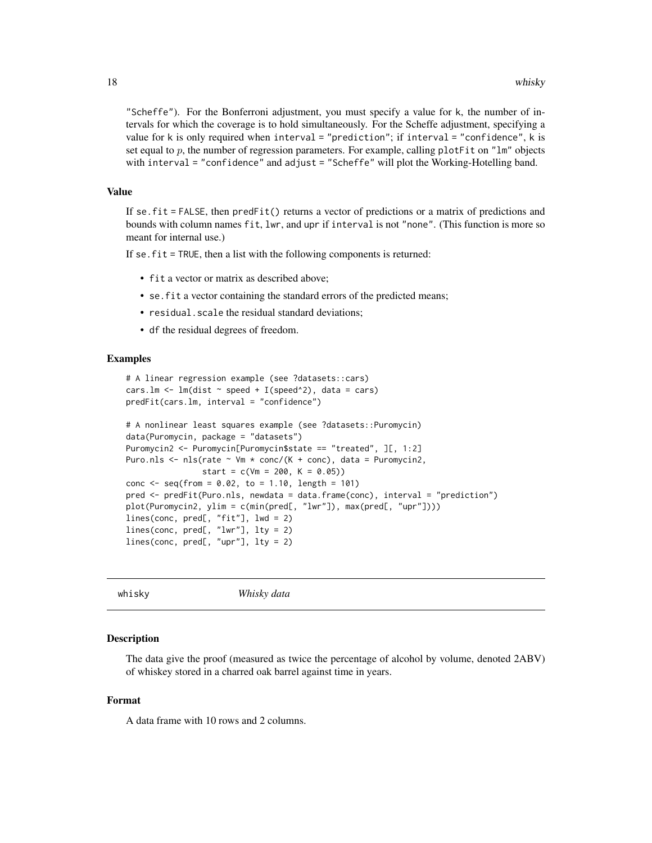<span id="page-17-0"></span>"Scheffe"). For the Bonferroni adjustment, you must specify a value for k, the number of intervals for which the coverage is to hold simultaneously. For the Scheffe adjustment, specifying a value for k is only required when interval = "prediction"; if interval = "confidence", k is set equal to  $p$ , the number of regression parameters. For example, calling plot Fit on "lm" objects with interval = "confidence" and adjust = "Scheffe" will plot the Working-Hotelling band.

#### Value

If se.fit = FALSE, then predFit() returns a vector of predictions or a matrix of predictions and bounds with column names fit, lwr, and upr if interval is not "none". (This function is more so meant for internal use.)

If se.fit = TRUE, then a list with the following components is returned:

- fit a vector or matrix as described above;
- se.fit a vector containing the standard errors of the predicted means;
- residual.scale the residual standard deviations;
- df the residual degrees of freedom.

#### Examples

```
# A linear regression example (see ?datasets::cars)
cars.lm \leq lm(dist \sim speed + I(speed\geq2), data = cars)
predFit(cars.lm, interval = "confidence")
# A nonlinear least squares example (see ?datasets::Puromycin)
data(Puromycin, package = "datasets")
Puromycin2 <- Puromycin[Puromycin$state == "treated", ][, 1:2]
Puro.nls \leq nls(rate \sim Vm \star conc/(K + conc), data = Puromycin2,
                start = c(Vm = 200, K = 0.05)conc <- seq(from = 0.02, to = 1.10, length = 101)
pred <- predFit(Puro.nls, newdata = data.frame(conc), interval = "prediction")
plot(Puromycin2, ylim = c(min(pred[, "lwr"]), max(pred[, "upr"])))
lines(conc, pred[, "fit"], lwd = 2)
lines(conc, pred[, "lwr"], lty = 2)
lines(conc, pred[, "upr"], lty = 2)
```

```
whisky Whisky data
```
#### Description

The data give the proof (measured as twice the percentage of alcohol by volume, denoted 2ABV) of whiskey stored in a charred oak barrel against time in years.

#### Format

A data frame with 10 rows and 2 columns.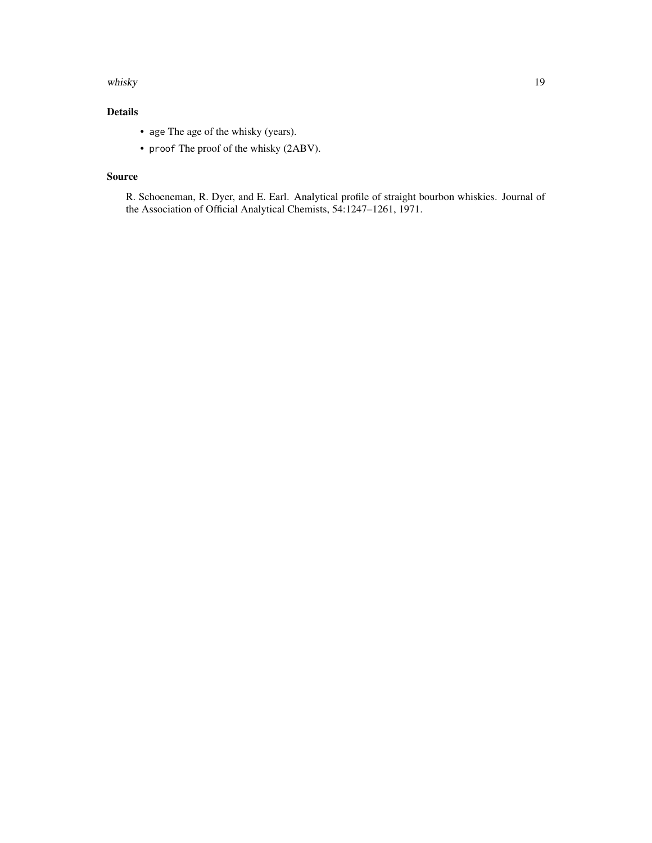#### whisky and the state of the state of the state of the state of the state of the state of the state of the state of the state of the state of the state of the state of the state of the state of the state of the state of the

# Details

- age The age of the whisky (years).
- proof The proof of the whisky (2ABV).

# Source

R. Schoeneman, R. Dyer, and E. Earl. Analytical profile of straight bourbon whiskies. Journal of the Association of Official Analytical Chemists, 54:1247–1261, 1971.